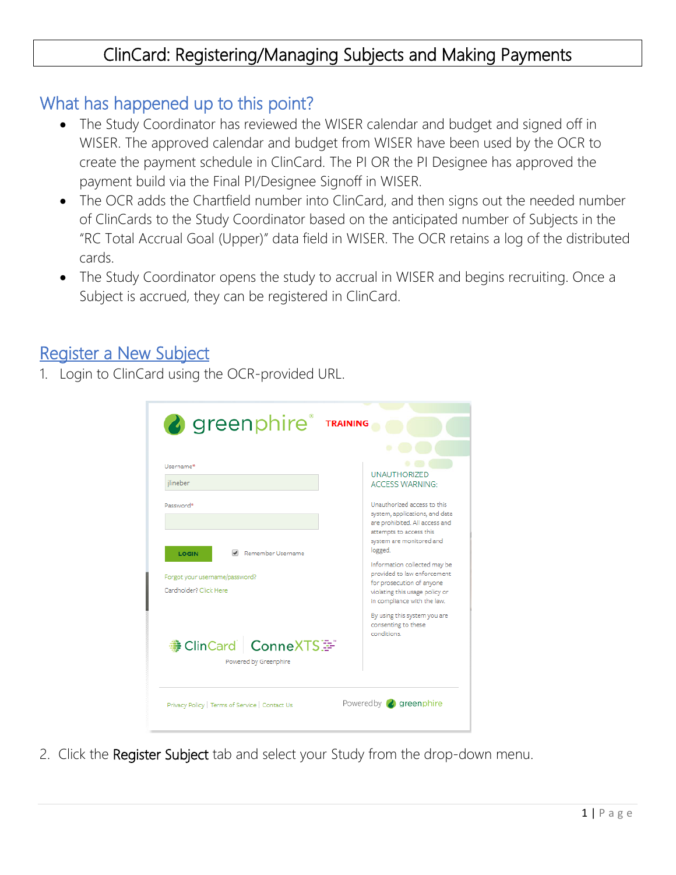# ClinCard: Registering/Managing Subjects and Making Payments

### What has happened up to this point?

- The Study Coordinator has reviewed the WISER calendar and budget and signed off in WISER. The approved calendar and budget from WISER have been used by the OCR to create the payment schedule in ClinCard. The PI OR the PI Designee has approved the payment build via the Final PI/Designee Signoff in WISER.
- The OCR adds the Chartfield number into ClinCard, and then signs out the needed number of ClinCards to the Study Coordinator based on the anticipated number of Subjects in the "RC Total Accrual Goal (Upper)" data field in WISER. The OCR retains a log of the distributed cards.
- The Study Coordinator opens the study to accrual in WISER and begins recruiting. Once a Subject is accrued, they can be registered in ClinCard.

#### Register a New Subject

1. Login to ClinCard using the OCR-provided URL.

| <b>&amp;</b> greenphire® TRAINING                                                             |                                                                                                                                                                                                                                                                                                 |
|-----------------------------------------------------------------------------------------------|-------------------------------------------------------------------------------------------------------------------------------------------------------------------------------------------------------------------------------------------------------------------------------------------------|
| Username*<br>ilineber<br>Password*                                                            | <b>UNAUTHORIZED</b><br><b>ACCESS WARNING:</b><br>Unauthorized access to this                                                                                                                                                                                                                    |
| Remember Username<br><b>LOGIN</b><br>Forgot your username/password?<br>Cardholder? Click Here | system, applications, and data<br>are prohibited. All access and<br>attempts to access this<br>system are monitored and<br>logged.<br>Information collected may be<br>provided to law enforcement<br>for prosecution of anyone<br>violating this usage policy or<br>in compliance with the law. |
| <b>● ClinCard   ConneXTS</b><br>Powered by Greenphire                                         | By using this system you are<br>consenting to these<br>conditions                                                                                                                                                                                                                               |
| Privacy Policy   Terms of Service   Contact Us                                                | Powered by <b>a</b> greenphire                                                                                                                                                                                                                                                                  |

2. Click the Register Subject tab and select your Study from the drop-down menu.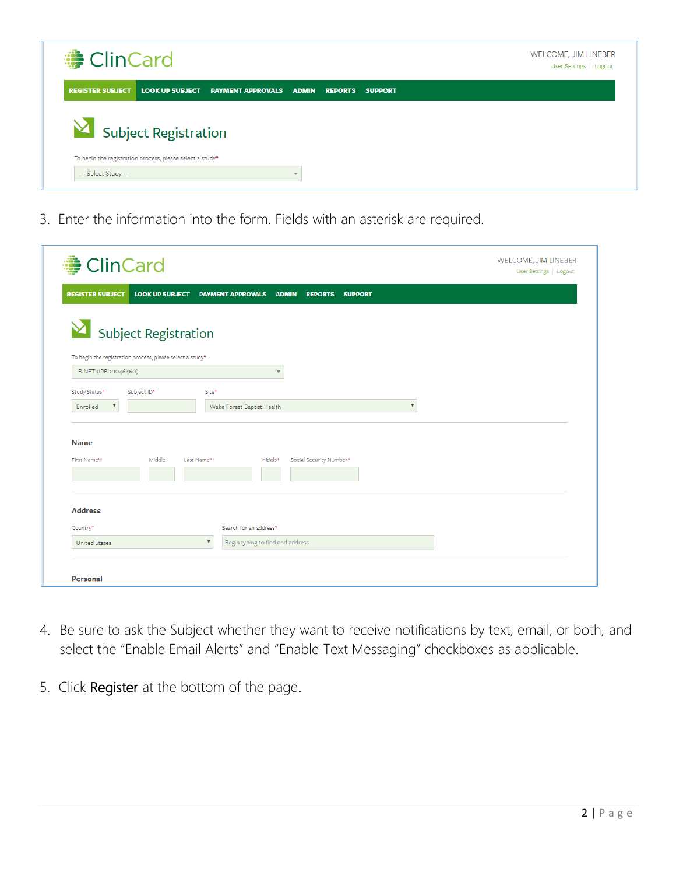

3. Enter the information into the form. Fields with an asterisk are required.

| <b>● ClinCard</b>                                         |                                                                              | <b>WELCOME, JIM LINEBER</b><br>User Settings   Logout |
|-----------------------------------------------------------|------------------------------------------------------------------------------|-------------------------------------------------------|
| <b>REGISTER SUBJECT</b><br><b>LOOK UP SUBJECT</b>         | <b>PAYMENT APPROVALS</b><br><b>ADMIN</b><br><b>REPORTS</b><br><b>SUPPORT</b> |                                                       |
|                                                           |                                                                              |                                                       |
| $\blacktriangleright$ Subject Registration                |                                                                              |                                                       |
| To begin the registration process, please select a study* |                                                                              |                                                       |
| B-NET (IRBoo046460)                                       |                                                                              |                                                       |
| Study Status*<br>Subject ID*                              | Site*                                                                        |                                                       |
| $\boldsymbol{\mathrm{v}}$<br>Enrolled                     | $\boldsymbol{\mathrm{v}}$<br>Wake Forest Baptist Health                      |                                                       |
| <b>Name</b><br>Middle<br>First Name*                      | Social Security Number*<br>Last Name*<br>Initials*                           |                                                       |
| <b>Address</b>                                            |                                                                              |                                                       |
| Country*                                                  | Search for an address*<br>$\boldsymbol{\mathrm{v}}$                          |                                                       |
| <b>United States</b>                                      | Begin typing to find and address                                             |                                                       |
|                                                           |                                                                              |                                                       |
|                                                           |                                                                              |                                                       |

- 4. Be sure to ask the Subject whether they want to receive notifications by text, email, or both, and select the "Enable Email Alerts" and "Enable Text Messaging" checkboxes as applicable.
- 5. Click Register at the bottom of the page.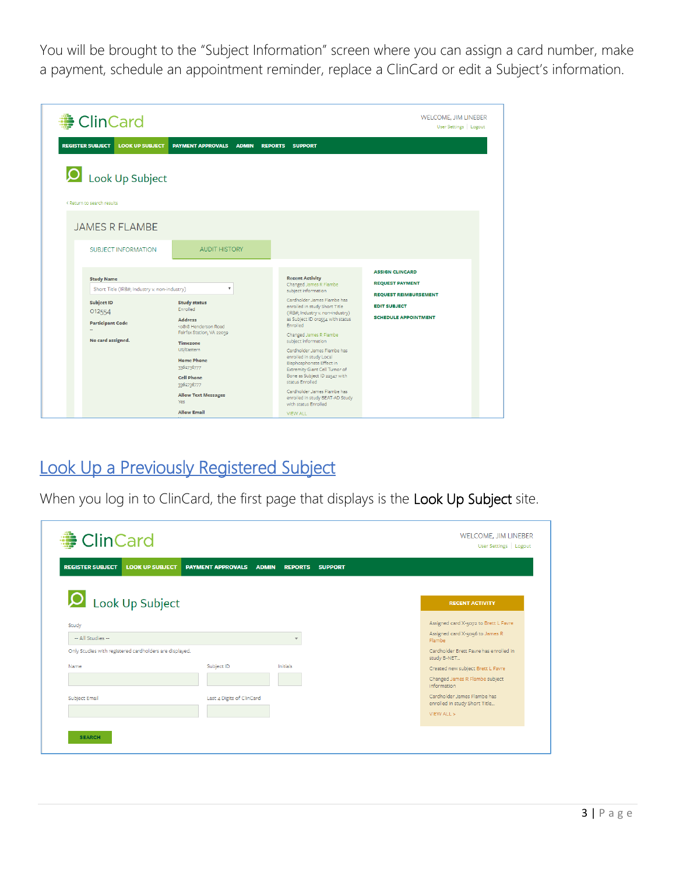You will be brought to the "Subject Information" screen where you can assign a card number, make a payment, schedule an appointment reminder, replace a ClinCard or edit a Subject's information.

| <b>● ClinCard</b>                                                                     |                                                                                                                           |                                                                                                                                                                                                        | <b>WELCOME, JIM LINEBER</b><br>User Settings   Logout                              |
|---------------------------------------------------------------------------------------|---------------------------------------------------------------------------------------------------------------------------|--------------------------------------------------------------------------------------------------------------------------------------------------------------------------------------------------------|------------------------------------------------------------------------------------|
| <b>LOOK UP SUBJECT</b><br><b>REGISTER SUBJECT</b>                                     | <b>PAYMENT APPROVALS</b><br><b>ADMIN</b>                                                                                  | <b>REPORTS</b><br><b>SUPPORT</b>                                                                                                                                                                       |                                                                                    |
| <b>O</b> Look Up Subject<br>< Return to search results                                |                                                                                                                           |                                                                                                                                                                                                        |                                                                                    |
| <b>JAMES R FLAMBE</b><br><b>SUBJECT INFORMATION</b>                                   | <b>AUDIT HISTORY</b>                                                                                                      |                                                                                                                                                                                                        |                                                                                    |
| <b>Study Name</b><br>Short Title (IRB#; Industry v. non-industry)                     | $\boldsymbol{\mathrm{v}}$                                                                                                 | <b>Recent Activity</b><br>Changed James R Flambe<br>subject information                                                                                                                                | <b>ASSIGN CLINCARD</b><br><b>REQUEST PAYMENT</b>                                   |
| <b>Subject ID</b><br>012554<br><b>Participant Code</b><br>$\sim$<br>No card assigned. | <b>Study status</b><br>Enrolled<br><b>Address</b><br>10818 Henderson Road<br>Fairfax Station, VA 22039<br><b>Timezone</b> | Cardholder James Flambe has<br>enrolled in study Short Title<br>(IRB#; Industry v. non-industry)<br>as Subject ID 012554 with status<br>Enrolled<br>Changed James R Flambe<br>subject information      | <b>REQUEST REIMBURSEMENT</b><br><b>EDIT SUBJECT</b><br><b>SCHEDULE APPOINTMENT</b> |
|                                                                                       | US/Eastern<br><b>Home Phone</b><br>3362736777<br><b>Cell Phone</b><br>3362736777                                          | Cardholder James Flambe has<br>enrolled in study Local<br>Bisphosphonate Effect in<br>Extremity Giant Cell Tumor of<br>Bone as Subject ID 22547 with<br>status Enrolled<br>Cardholder James Flambe has |                                                                                    |
|                                                                                       | <b>Allow Text Messages</b><br>Yes.<br><b>Allow Email</b>                                                                  | enrolled in study BEAT-AD Study<br>with status Enrolled<br><b>VIEW ALL</b>                                                                                                                             |                                                                                    |

# Look Up a Previously Registered Subject

When you log in to ClinCard, the first page that displays is the Look Up Subject site.

| <b>REGISTER SUBJECT</b><br><b>LOOK UP SUBJECT</b>       | <b>PAYMENT APPROVALS</b>  | <b>ADMIN</b><br><b>REPORTS</b><br><b>SUPPORT</b> |                                                              |
|---------------------------------------------------------|---------------------------|--------------------------------------------------|--------------------------------------------------------------|
| <b>O</b> Look Up Subject                                |                           |                                                  | <b>RECENT ACTIVITY</b>                                       |
| Study                                                   |                           |                                                  | Assigned card X-5072 to Brett L Favre                        |
| -- All Studies --                                       |                           | $\overline{\phantom{a}}$                         | Assigned card X-5056 to James R<br>Flambe                    |
| Only Studies with registered cardholders are displayed. |                           |                                                  | Cardholder Brett Favre has enrolled in<br>study B-NET        |
| Name                                                    | Subject ID                | Initials                                         | Created new subject Brett L Favre                            |
|                                                         |                           |                                                  | Changed James R Flambe subject<br>information                |
| <b>Subject Email</b>                                    | Last 4 Digits of ClinCard |                                                  | Cardholder James Flambe has<br>enrolled in study Short Title |
|                                                         |                           |                                                  | VIEW ALL >                                                   |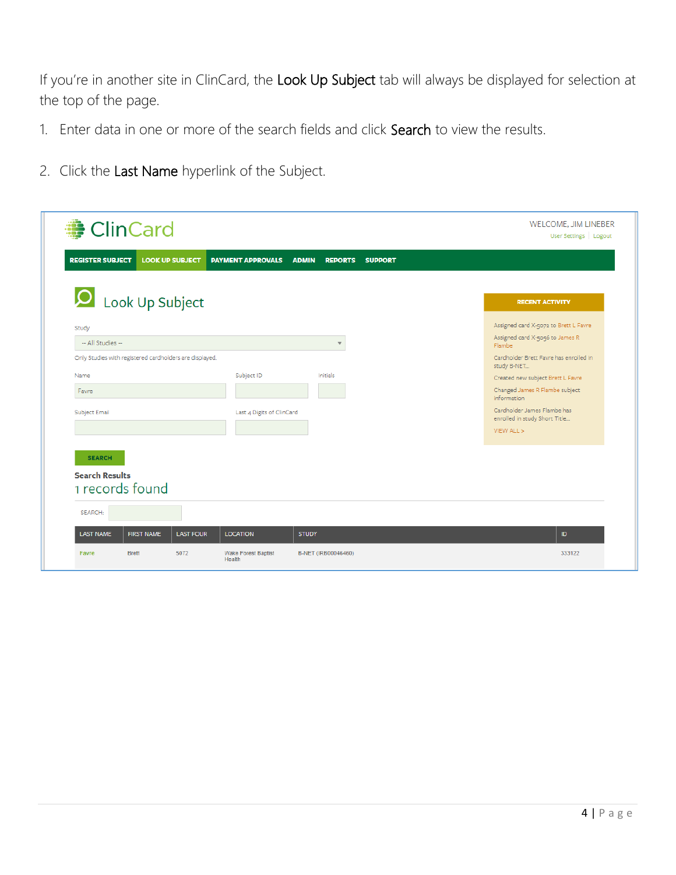If you're in another site in ClinCard, the Look Up Subject tab will always be displayed for selection at the top of the page.

- 1. Enter data in one or more of the search fields and click Search to view the results.
- 2. Click the Last Name hyperlink of the Subject.

| <b>O</b> Look Up Subject                                |                           |                          | <b>RECENT ACTIVITY</b>                                       |
|---------------------------------------------------------|---------------------------|--------------------------|--------------------------------------------------------------|
| Study                                                   |                           |                          | Assigned card X-5072 to Brett L Favre                        |
| -- All Studies --                                       |                           | $\overline{\phantom{a}}$ | Assigned card X-5056 to James R<br>Flambe                    |
| Only Studies with registered cardholders are displayed. |                           |                          | Cardholder Brett Favre has enrolled in<br>study B-NET        |
| Name                                                    | Subject ID                | Initials                 | Created new subject Brett L Favre                            |
| Favre                                                   |                           |                          | Changed James R Flambe subject<br><i>information</i>         |
| Subject Email                                           | Last 4 Digits of ClinCard |                          | Cardholder James Flambe has<br>enrolled in study Short Title |
|                                                         |                           |                          | VIEW ALL >                                                   |
| <b>SEARCH</b>                                           |                           |                          |                                                              |
| <b>Search Results</b>                                   |                           |                          |                                                              |
| 1 records found                                         |                           |                          |                                                              |
| SEARCH:                                                 |                           |                          |                                                              |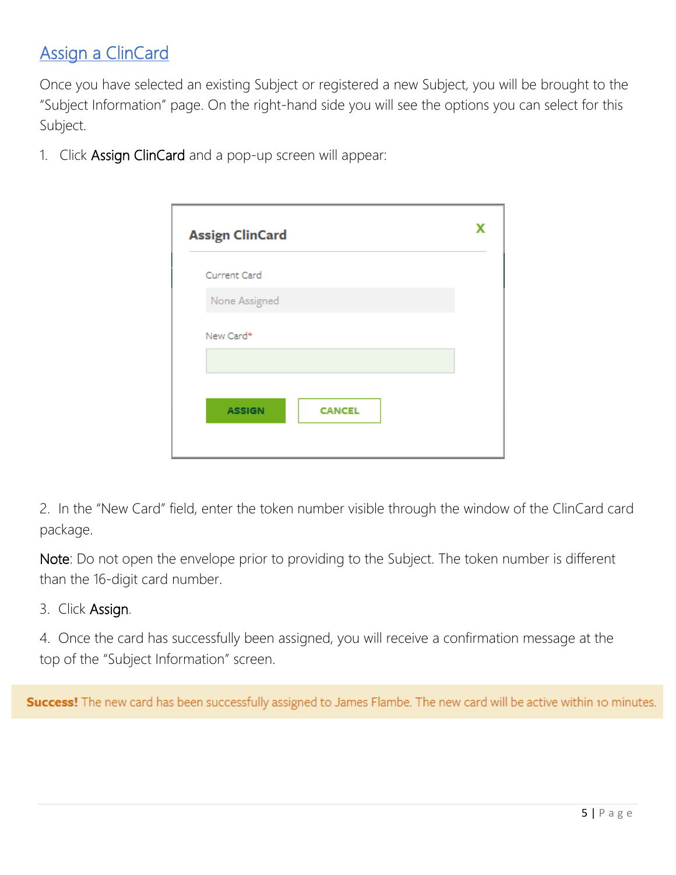# **Assign a ClinCard**

Once you have selected an existing Subject or registered a new Subject, you will be brought to the "Subject Information" page. On the right-hand side you will see the options you can select for this Subject.

1. Click Assign ClinCard and a pop-up screen will appear:

| <b>Assign ClinCard</b> |               |  |
|------------------------|---------------|--|
| Current Card           |               |  |
| None Assigned          |               |  |
| New Card*              |               |  |
|                        |               |  |
| <b>ASSIGN</b>          | <b>CANCEL</b> |  |
|                        |               |  |

2. In the "New Card" field, enter the token number visible through the window of the ClinCard card package.

Note: Do not open the envelope prior to providing to the Subject. The token number is different than the 16-digit card number.

3. Click Assign.

4. Once the card has successfully been assigned, you will receive a confirmation message at the top of the "Subject Information" screen.

Success! The new card has been successfully assigned to James Flambe. The new card will be active within 10 minutes.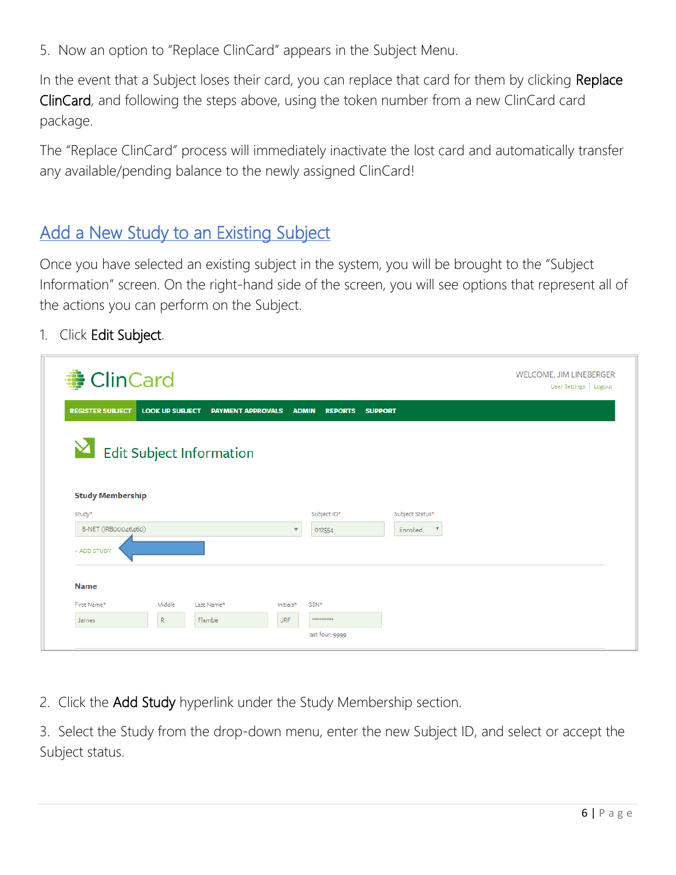5. Now an option to "Replace ClinCard" appears in the Subject Menu.

In the event that a Subject loses their card, you can replace that card for them by clicking Replace ClinCard, and following the steps above, using the token number from a new ClinCard card package.

The "Replace ClinCard" process will immediately inactivate the lost card and automatically transfer any available/pending balance to the newly assigned ClinCard!

## Add a New Study to an Existing Subject

Once you have selected an existing subject in the system, you will be brought to the "Subject Information" screen. On the right-hand side of the screen, you will see options that represent all of the actions you can perform on the Subject.

1. Click Edit Subject.

| <b>● ClinCard</b>       |                        |                                 |                          |                |                |                                       | WELCOME, JIM LINEBERGER<br>User Settings   Logout |  |
|-------------------------|------------------------|---------------------------------|--------------------------|----------------|----------------|---------------------------------------|---------------------------------------------------|--|
| <b>REGISTER SUBJECT</b> | <b>LOOK UP SUBJECT</b> | <b>PAYMENT APPROVALS</b>        | <b>ADMIN</b>             | <b>REPORTS</b> | <b>SUPPORT</b> |                                       |                                                   |  |
|                         |                        | <b>Edit Subject Information</b> |                          |                |                |                                       |                                                   |  |
| <b>Study Membership</b> |                        |                                 |                          |                |                |                                       |                                                   |  |
|                         |                        |                                 |                          | Subject ID*    |                | Subject Status*                       |                                                   |  |
| Study*                  |                        |                                 |                          |                |                |                                       |                                                   |  |
| B-NET (IRBoo046460)     |                        |                                 | $\overline{\phantom{a}}$ | 012554         |                | $\boldsymbol{\mathrm{v}}$<br>Enrolled |                                                   |  |
| + ADD STUDY             |                        |                                 |                          |                |                |                                       |                                                   |  |
| <b>Name</b>             |                        |                                 |                          |                |                |                                       |                                                   |  |
| First Name*             | Middle                 | Last Name*                      | Initials*                | SSN*           |                |                                       |                                                   |  |
| James                   | $\mathsf{R}$           | Flambe                          | <b>JRF</b>               | **********     |                |                                       |                                                   |  |

2. Click the Add Study hyperlink under the Study Membership section.

3. Select the Study from the drop-down menu, enter the new Subject ID, and select or accept the Subject status.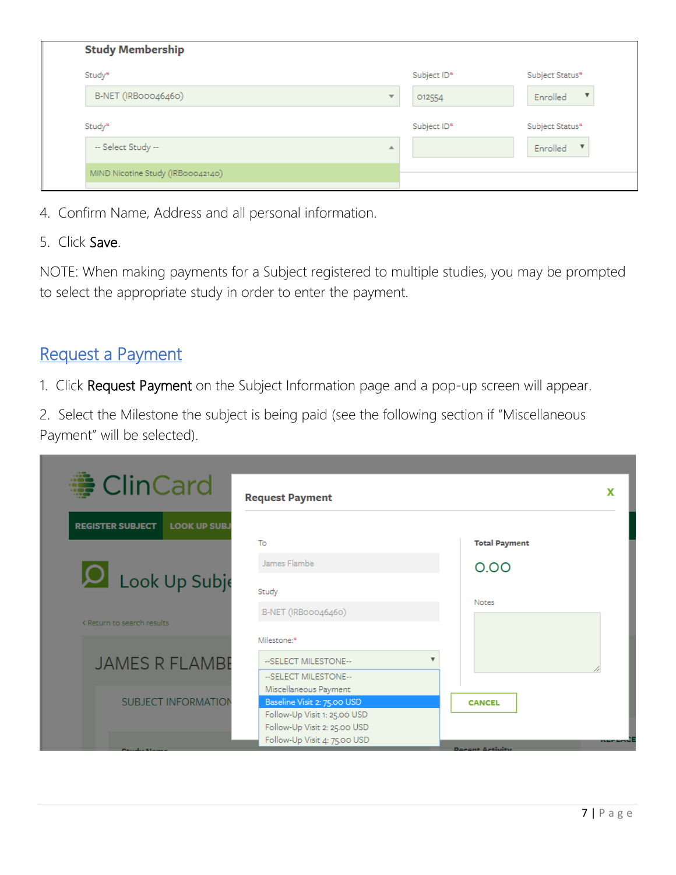| <b>Study Membership</b>           |                                   |                 |
|-----------------------------------|-----------------------------------|-----------------|
| Study*                            | Subject ID*                       | Subject Status* |
| B-NET (IRBoo046460)               | $\overline{\mathbf{v}}$<br>012554 | ▼<br>Enrolled   |
| Study*                            | Subject ID*                       | Subject Status* |
| -- Select Study --                | ▲                                 | Enrolled        |
| MIND Nicotine Study (IRB00042140) |                                   |                 |

- 4. Confirm Name, Address and all personal information.
- 5. Click Save.

NOTE: When making payments for a Subject registered to multiple studies, you may be prompted to select the appropriate study in order to enter the payment.

#### Request a Payment

1. Click Request Payment on the Subject Information page and a pop-up screen will appear.

2. Select the Milestone the subject is being paid (see the following section if "Miscellaneous Payment" will be selected).

| <b>● ClinCard</b>                              | <b>Request Payment</b>                                                                       | x                    |
|------------------------------------------------|----------------------------------------------------------------------------------------------|----------------------|
| <b>REGISTER SUBJECT</b><br><b>LOOK UP SUBJ</b> | To                                                                                           | <b>Total Payment</b> |
|                                                | James Flambe                                                                                 | 0.00                 |
| Look Up Subje                                  | Study                                                                                        | <b>Notes</b>         |
| < Return to search results                     | B-NET (IRBoo046460)<br>Milestone:*                                                           |                      |
| <b>JAMES R FLAMBE</b>                          | --SELECT MILESTONE--                                                                         |                      |
| <b>SUBJECT INFORMATION</b>                     | --SELECT MILESTONE--<br>Miscellaneous Payment<br>Baseline Visit 2: 75.00 USD                 | <b>CANCEL</b>        |
|                                                | Follow-Up Visit 1: 25.00 USD<br>Follow-Up Visit 2: 25.00 USD<br>Follow-Up Visit 4: 75.00 USD |                      |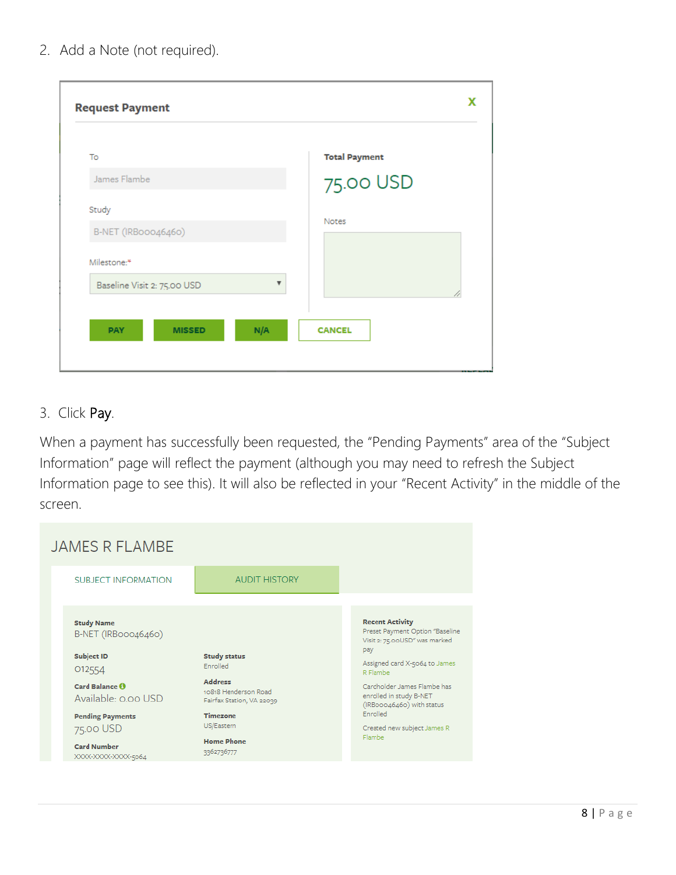| To                          | <b>Total Payment</b> |
|-----------------------------|----------------------|
| James Flambe                | 75.00 USD            |
| Study                       | Notes                |
| B-NET (IRBoo046460)         |                      |
| Milestone:*                 |                      |
| Baseline Visit 2: 75.00 USD | ▼                    |

#### 3. Click Pay.

When a payment has successfully been requested, the "Pending Payments" area of the "Subject Information" page will reflect the payment (although you may need to refresh the Subject Information page to see this). It will also be reflected in your "Recent Activity" in the middle of the screen.

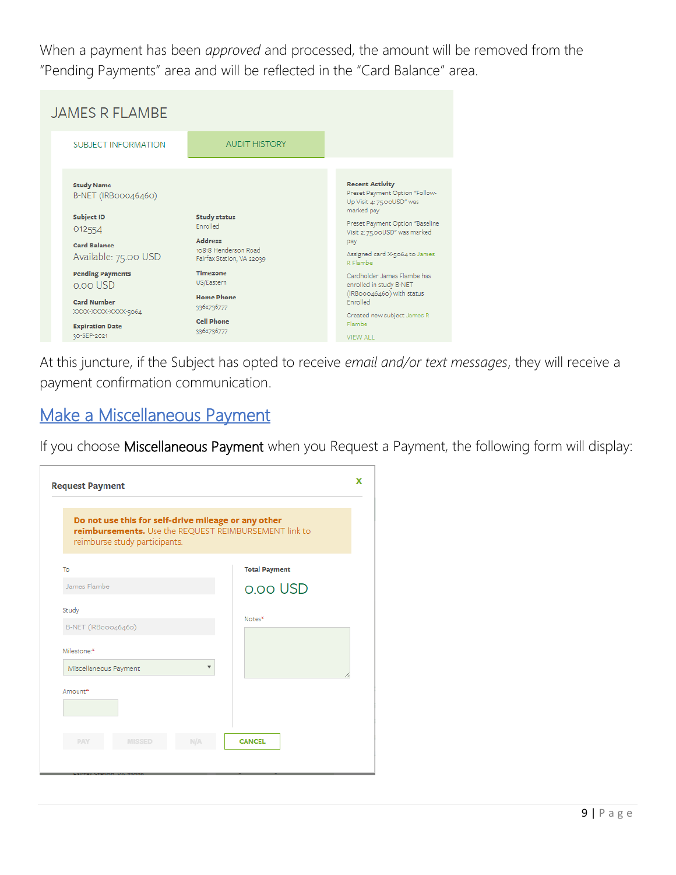When a payment has been *approved* and processed, the amount will be removed from the "Pending Payments" area and will be reflected in the "Card Balance" area.

| <b>JAMES R FLAMBE</b>                       |                                                                     |                                                                                                     |
|---------------------------------------------|---------------------------------------------------------------------|-----------------------------------------------------------------------------------------------------|
| <b>SUBJECT INFORMATION</b>                  | <b>AUDIT HISTORY</b>                                                |                                                                                                     |
| <b>Study Name</b><br>B-NET (IRBoo046460)    |                                                                     | <b>Recent Activity</b><br>Preset Payment Option "Follow-<br>Up Visit 4: 75.00USD" was<br>marked pay |
| <b>Subject ID</b><br>012554                 | <b>Study status</b><br>Enrolled                                     | Preset Payment Option "Baseline<br>Visit 2: 75.00USD" was marked                                    |
| <b>Card Balance</b><br>Available: 75.00 USD | <b>Address</b><br>10818 Henderson Road<br>Fairfax Station, VA 22039 | pay<br>Assigned card X-5064 to James<br>R Flambe                                                    |
| <b>Pending Payments</b><br>o.oo USD         | <b>Timezone</b><br>US/Eastern                                       | Cardholder James Flambe has<br>enrolled in study B-NET                                              |
| <b>Card Number</b><br>XXXX-XXXX-XXXXX-5064  | <b>Home Phone</b><br>3362736777                                     | (IRBooo46460) with status<br><b>Enrolled</b>                                                        |
| <b>Expiration Date</b><br>30-SEP-2021       | <b>Cell Phone</b><br>3362736777                                     | Created new subject James R<br>Flambe<br><b>VIEW ALL</b>                                            |

At this juncture, if the Subject has opted to receive *email and/or text messages*, they will receive a payment confirmation communication.

## Make a Miscellaneous Payment

If you choose Miscellaneous Payment when you Request a Payment, the following form will display:

| <b>Request Payment</b>                                                                                                                        |                      |  |  |
|-----------------------------------------------------------------------------------------------------------------------------------------------|----------------------|--|--|
| Do not use this for self-drive mileage or any other<br>reimbursements. Use the REQUEST REIMBURSEMENT link to<br>reimburse study participants. |                      |  |  |
| To                                                                                                                                            | <b>Total Payment</b> |  |  |
| James Flambe                                                                                                                                  | o.oo USD             |  |  |
| Study                                                                                                                                         | Notes*               |  |  |
| B-NET (IRBoo046460)                                                                                                                           |                      |  |  |
| Milestone:*                                                                                                                                   |                      |  |  |
| Miscellaneous Payment<br>$\overline{\mathbf{v}}$                                                                                              |                      |  |  |
| Amount*                                                                                                                                       |                      |  |  |
|                                                                                                                                               |                      |  |  |
|                                                                                                                                               |                      |  |  |
| NIA<br>PAY<br><b>MISSED</b>                                                                                                                   | <b>CANCEL</b>        |  |  |
|                                                                                                                                               |                      |  |  |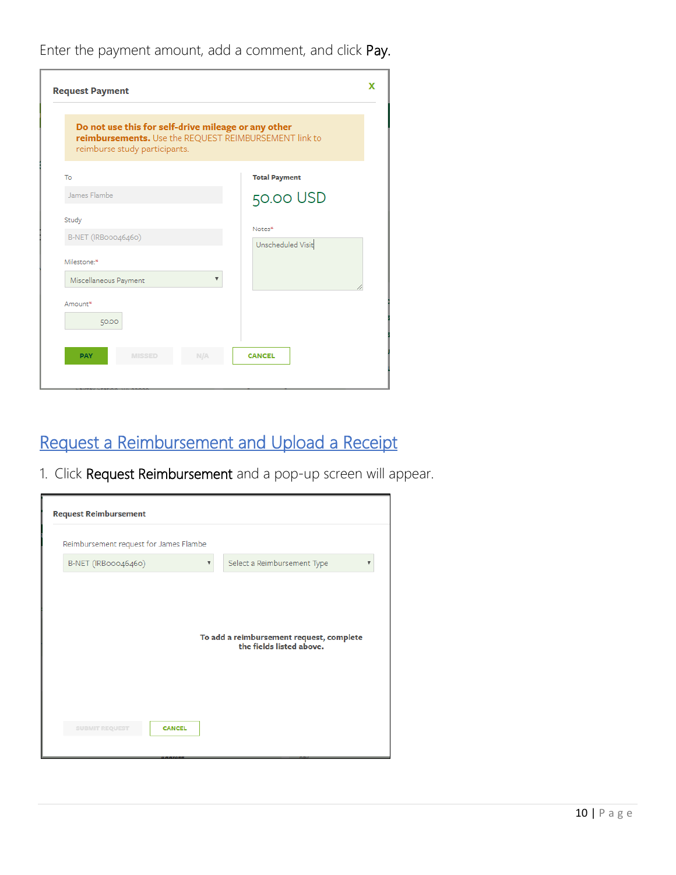Enter the payment amount, add a comment, and click Pay.

| <b>Request Payment</b>                                                                                                                        | x                    |  |
|-----------------------------------------------------------------------------------------------------------------------------------------------|----------------------|--|
| Do not use this for self-drive mileage or any other<br>reimbursements. Use the REQUEST REIMBURSEMENT link to<br>reimburse study participants. |                      |  |
| To                                                                                                                                            | <b>Total Payment</b> |  |
| James Flambe                                                                                                                                  | 50.00 USD            |  |
| Study                                                                                                                                         | Notes*               |  |
| B-NET (IRBoo046460)                                                                                                                           | Unscheduled Visit    |  |
| Milestone:*                                                                                                                                   |                      |  |
| Miscellaneous Payment                                                                                                                         |                      |  |
| Amount*<br>50.00                                                                                                                              |                      |  |
| N/A<br><b>PAY</b><br><b>MISSED</b>                                                                                                            | <b>CANCEL</b>        |  |

# Request a Reimbursement and Upload a Receipt

1. Click Request Reimbursement and a pop-up screen will appear.

| Reimbursement request for James Flambe |                                                        |
|----------------------------------------|--------------------------------------------------------|
| B-NET (IRBoo046460)                    | Select a Reimbursement Type<br>$\overline{\mathbf{v}}$ |
|                                        |                                                        |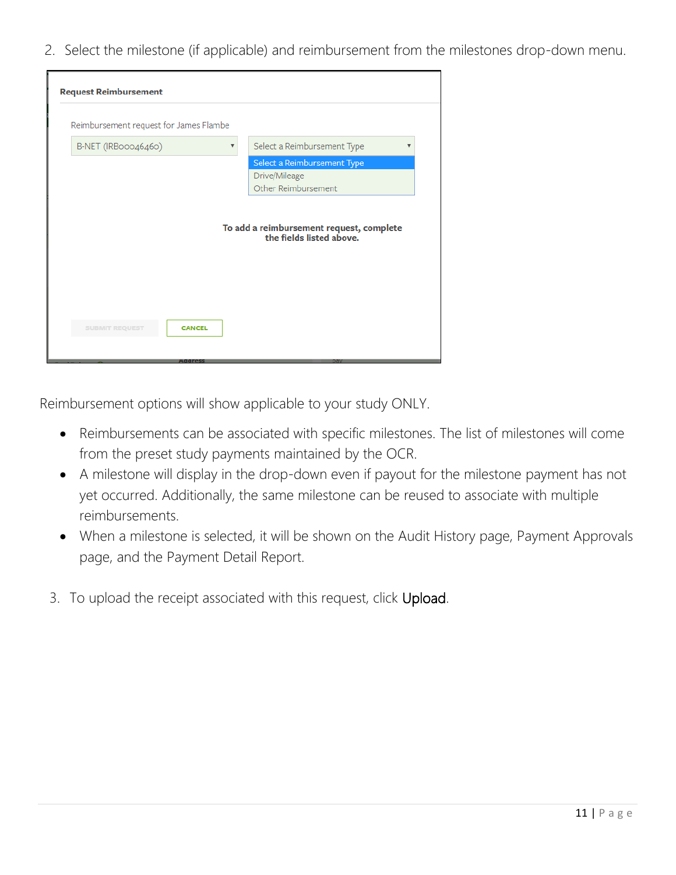2. Select the milestone (if applicable) and reimbursement from the milestones drop-down menu.

| <b>Request Reimbursement</b>           |                                                                      |
|----------------------------------------|----------------------------------------------------------------------|
| Reimbursement request for James Flambe |                                                                      |
| B-NET (IRBoo046460)                    | Select a Reimbursement Type                                          |
|                                        | Select a Reimbursement Type<br>Drive/Mileage<br>Other Reimbursement  |
|                                        | To add a reimbursement request, complete<br>the fields listed above. |
| <b>SUBMIT REQUEST</b><br><b>CANCEL</b> |                                                                      |
|                                        |                                                                      |
| естонен                                |                                                                      |

Reimbursement options will show applicable to your study ONLY.

- Reimbursements can be associated with specific milestones. The list of milestones will come from the preset study payments maintained by the OCR.
- A milestone will display in the drop-down even if payout for the milestone payment has not yet occurred. Additionally, the same milestone can be reused to associate with multiple reimbursements.
- When a milestone is selected, it will be shown on the Audit History page, Payment Approvals page, and the Payment Detail Report.
- 3. To upload the receipt associated with this request, click Upload.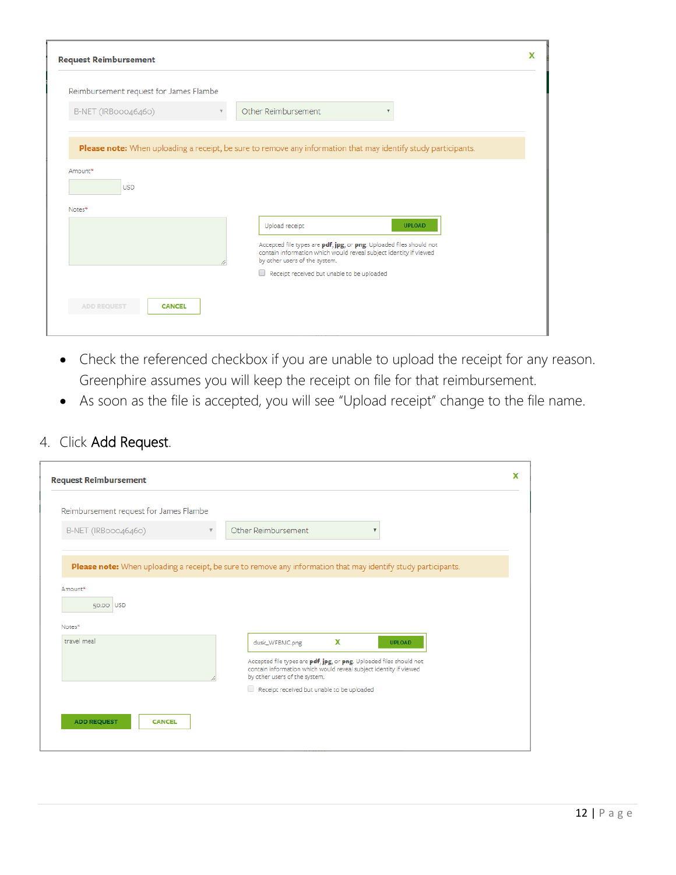| <b>Request Reimbursement</b>           |                                                                                                                                                                                                                                                            |  |
|----------------------------------------|------------------------------------------------------------------------------------------------------------------------------------------------------------------------------------------------------------------------------------------------------------|--|
| Reimbursement request for James Flambe |                                                                                                                                                                                                                                                            |  |
| B-NET (IRBoo046460)                    | Other Reimbursement                                                                                                                                                                                                                                        |  |
| Amount*                                | Please note: When uploading a receipt, be sure to remove any information that may identify study participants.                                                                                                                                             |  |
| <b>USD</b><br>Notes*                   |                                                                                                                                                                                                                                                            |  |
|                                        | Upload receipt<br><b>UPLOAD</b><br>Accepted file types are pdf, jpg, or png. Uploaded files should not<br>contain information which would reveal subject identity if viewed<br>by other users of the system.<br>Receipt received but unable to be uploaded |  |
| <b>ADD REQUEST</b><br><b>CANCEL</b>    |                                                                                                                                                                                                                                                            |  |

- Check the referenced checkbox if you are unable to upload the receipt for any reason. Greenphire assumes you will keep the receipt on file for that reimbursement.
- As soon as the file is accepted, you will see "Upload receipt" change to the file name.

#### 4. Click Add Request.

| <b>Request Reimbursement</b>           |                                                                                                                                                                                                                                                                 |  |
|----------------------------------------|-----------------------------------------------------------------------------------------------------------------------------------------------------------------------------------------------------------------------------------------------------------------|--|
| Reimbursement request for James Flambe |                                                                                                                                                                                                                                                                 |  |
| B-NET (IRBoo046460)<br>v               | Other Reimbursement<br>$\overline{\mathbf{v}}$                                                                                                                                                                                                                  |  |
| Amount*<br>50.00 USD<br>Notes*         | Please note: When uploading a receipt, be sure to remove any information that may identify study participants.                                                                                                                                                  |  |
| travel meal                            | x<br>dusk_WFBMC.png<br><b>UPLOAD</b><br>Accepted file types are pdf, jpg, or png. Uploaded files should not<br>contain information which would reveal subject identity if viewed<br>by other users of the system.<br>Receipt received but unable to be uploaded |  |
| <b>ADD REQUEST</b><br><b>CANCEL</b>    |                                                                                                                                                                                                                                                                 |  |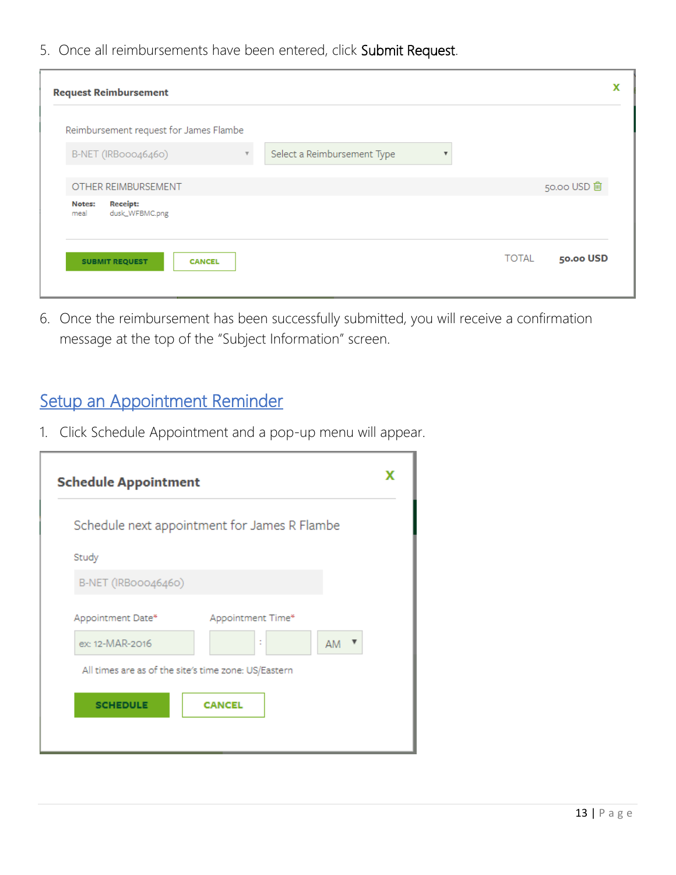5. Once all reimbursements have been entered, click Submit Request.

| <b>Request Reimbursement</b>                                                  |                           |
|-------------------------------------------------------------------------------|---------------------------|
| Reimbursement request for James Flambe                                        |                           |
| Select a Reimbursement Type<br>B-NET (IRBooo46460)<br>$\overline{\mathbf{v}}$ | $\overline{\mathbf{v}}$   |
| OTHER REIMBURSEMENT                                                           | 50.00 USD 自               |
| <b>Receipt:</b><br>Notes:<br>dusk_WFBMC.png<br>meal                           |                           |
| <b>SUBMIT REQUEST</b><br><b>CANCEL</b>                                        | <b>TOTAL</b><br>50.00 USD |
|                                                                               |                           |

6. Once the reimbursement has been successfully submitted, you will receive a confirmation message at the top of the "Subject Information" screen.

# Setup an Appointment Reminder

1. Click Schedule Appointment and a pop-up menu will appear.

| <b>Schedule Appointment</b>                          |                                              |  |
|------------------------------------------------------|----------------------------------------------|--|
|                                                      | Schedule next appointment for James R Flambe |  |
| Study                                                |                                              |  |
| B-NET (IRBoo046460)                                  |                                              |  |
| Appointment Date*                                    | Appointment Time*                            |  |
| ex: 12-MAR-2016                                      | t<br>AM                                      |  |
| All times are as of the site's time zone: US/Eastern |                                              |  |
| <b>SCHEDULE</b>                                      | <b>CANCEL</b>                                |  |
|                                                      |                                              |  |
|                                                      |                                              |  |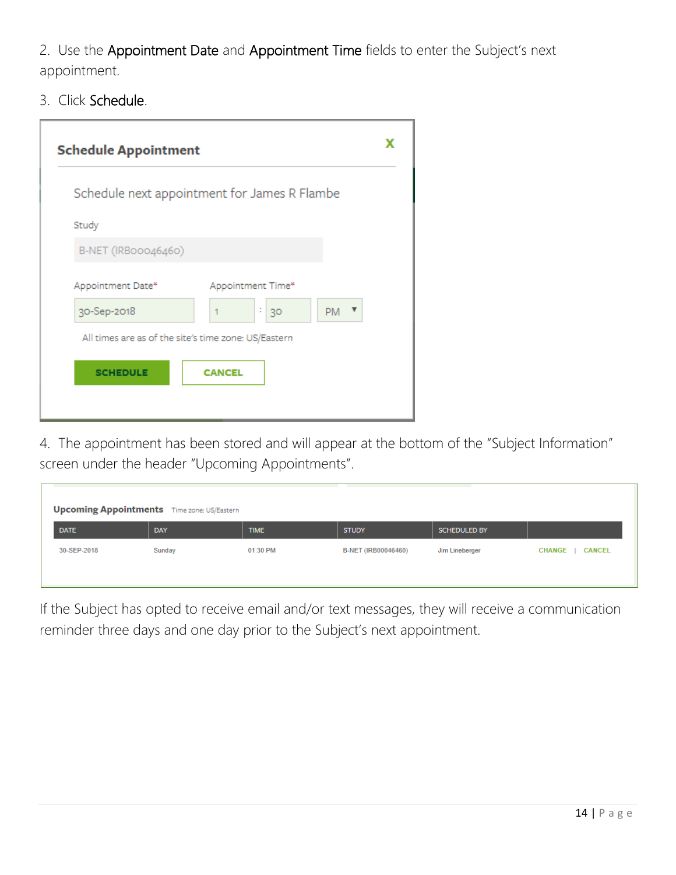2. Use the Appointment Date and Appointment Time fields to enter the Subject's next appointment.

3. Click Schedule.

| <b>Schedule Appointment</b> |                                                      |  |
|-----------------------------|------------------------------------------------------|--|
|                             | Schedule next appointment for James R Flambe         |  |
| Study                       |                                                      |  |
| B-NET (IRBoo046460)         |                                                      |  |
| Appointment Date*           | Appointment Time*                                    |  |
| 30-Sep-2018                 | t<br>$PM$ $\rightarrow$<br>30                        |  |
|                             | All times are as of the site's time zone: US/Eastern |  |
| <b>SCHEDULE</b>             | <b>CANCEL</b>                                        |  |
|                             |                                                      |  |

4. The appointment has been stored and will appear at the bottom of the "Subject Information" screen under the header "Upcoming Appointments".

| <b>Upcoming Appointments</b> Time zone: US/Eastern |        |             |                     |                     |                                |
|----------------------------------------------------|--------|-------------|---------------------|---------------------|--------------------------------|
| <b>DATE</b>                                        | DAY    | <b>TIME</b> | <b>STUDY</b>        | <b>SCHEDULED BY</b> |                                |
| 30-SEP-2018                                        | Sunday | 01:30 PM    | B-NET (IRB00046460) | Jim Lineberger      | <b>CANCEL</b><br><b>CHANGE</b> |
|                                                    |        |             |                     |                     |                                |

If the Subject has opted to receive email and/or text messages, they will receive a communication reminder three days and one day prior to the Subject's next appointment.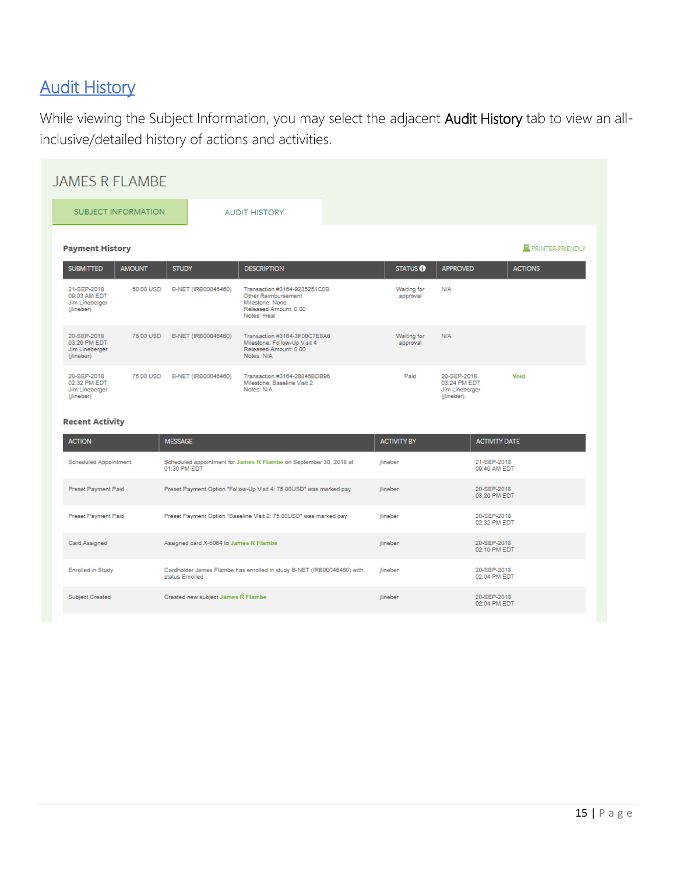# **Audit History**

While viewing the Subject Information, you may select the adjacent Audit History tab to view an allinclusive/detailed history of actions and activities.

| <b>JAMES R FLAMBE</b>                                       |               |                                        |                                                                                                                |                           |                                                             |                             |                    |
|-------------------------------------------------------------|---------------|----------------------------------------|----------------------------------------------------------------------------------------------------------------|---------------------------|-------------------------------------------------------------|-----------------------------|--------------------|
| <b>SUBJECT INFORMATION</b>                                  |               |                                        | <b>AUDIT HISTORY</b>                                                                                           |                           |                                                             |                             |                    |
| <b>Payment History</b>                                      |               |                                        |                                                                                                                |                           |                                                             |                             | 具 PRINTER-FRIENDLY |
| <b>SUBMITTED</b>                                            | <b>AMOUNT</b> | <b>STUDY</b>                           | <b>DESCRIPTION</b>                                                                                             | <b>STATUS<sup>6</sup></b> | <b>APPROVED</b>                                             |                             | <b>ACTIONS</b>     |
| 21-SEP-2018<br>09:03 AM EDT<br>Jim Lineberger<br>(jlineber) | 50.00 USD     | B-NET (IRB00046460)                    | Transaction #3164-9235251C0B<br>Other Reimbursement<br>Milestone: None<br>Released Amount: 0.00<br>Notes: meal | Waiting for<br>approval   | N/A                                                         |                             |                    |
| 20-SEP-2018<br>03:26 PM EDT<br>Jim Lineberger<br>(jlineber) | 75,00 USD     | B-NET (IRB00046460)                    | Transaction #3164-3F00C7E8A6<br>Milestone: Follow-Up Visit 4<br>Released Amount: 0.00<br>Notes: N/A            | Waiting for<br>approval   | N/A                                                         |                             |                    |
| 20-SEP-2018<br>02:32 PM EDT<br>Jim Lineberger<br>(jlineber) | 75.00 USD     | B-NET (IRB00046460)                    | Transaction #3164-28846BDB96<br>Milestone: Baseline Visit 2<br>Notes: N/A                                      | Paid                      | 20-SEP-2018<br>03:24 PM EDT<br>Jim Lineberger<br>(jlineber) |                             | Void               |
| <b>Recent Activity</b>                                      |               |                                        |                                                                                                                |                           |                                                             |                             |                    |
| <b>ACTION</b>                                               |               | <b>MESSAGE</b>                         |                                                                                                                | <b>ACTIVITY BY</b>        |                                                             | <b>ACTIVITY DATE</b>        |                    |
| <b>Scheduled Appointment</b>                                |               | 01:30 PM EDT                           | Scheduled appointment for James R Flambe on September 30, 2018 at                                              | ilineber                  |                                                             | 21-SEP-2018<br>09:40 AM EDT |                    |
| Preset Payment Paid                                         |               |                                        | Preset Payment Option "Follow-Up Visit 4: 75.00USD" was marked pay                                             | jlineber                  |                                                             | 20-SEP-2018<br>03:26 PM EDT |                    |
| Preset Payment Paid                                         |               |                                        | Preset Payment Option "Baseline Visit 2: 75.00USD" was marked pay                                              | jlineber                  |                                                             | 20-SEP-2018<br>02:32 PM EDT |                    |
| Card Assigned                                               |               | Assigned card X-5064 to James R Flambe |                                                                                                                | jlineber                  |                                                             | 20-SEP-2018<br>02:10 PM EDT |                    |
| <b>Enrolled in Study</b>                                    |               | status Enrolled                        | Cardholder James Flambe has enrolled in study B-NET (IRB00046460) with                                         | ilineber                  |                                                             | 20-SEP-2018<br>02:04 PM EDT |                    |
| <b>Subject Created</b>                                      |               | Created new subject James R Flambe     |                                                                                                                | jlineber                  |                                                             | 20-SEP-2018<br>02:04 PM EDT |                    |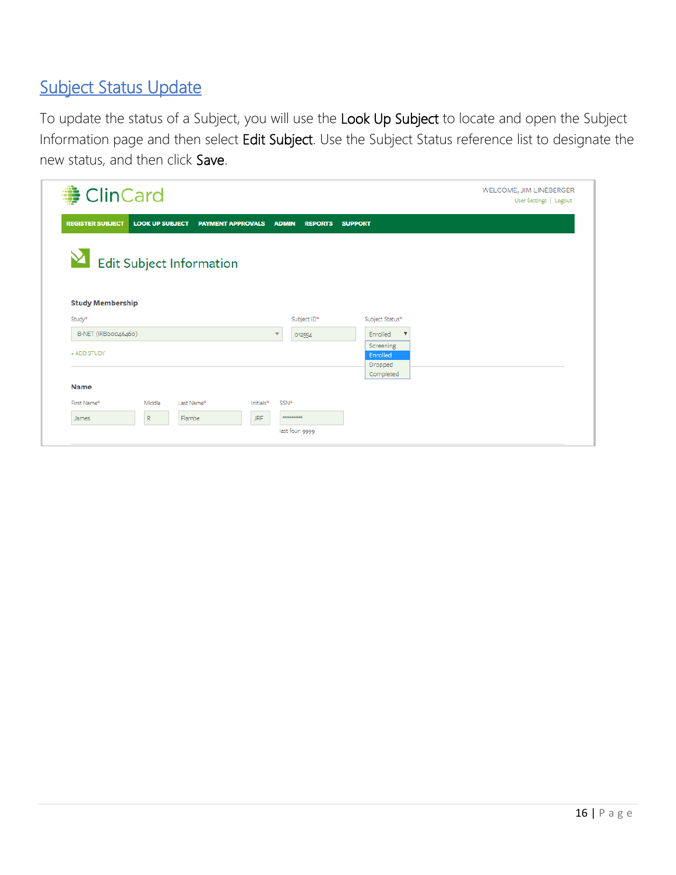# Subject Status Update

To update the status of a Subject, you will use the Look Up Subject to locate and open the Subject Information page and then select Edit Subject. Use the Subject Status reference list to designate the new status, and then click Save.

| <b>● ClinCard</b>        |                        |                          |            |                          |                |                |                                  |              | WELCOME, JIM LINEBERGER<br>User Settings   Logout |  |
|--------------------------|------------------------|--------------------------|------------|--------------------------|----------------|----------------|----------------------------------|--------------|---------------------------------------------------|--|
| <b>REGISTER SUBJECT</b>  | <b>LOOK UP SUBJECT</b> | <b>PAYMENT APPROVALS</b> |            | <b>ADMIN</b>             | <b>REPORTS</b> | <b>SUPPORT</b> |                                  |              |                                                   |  |
| Edit Subject Information |                        |                          |            |                          |                |                |                                  |              |                                                   |  |
|                          |                        |                          |            |                          |                |                |                                  |              |                                                   |  |
| <b>Study Membership</b>  |                        |                          |            |                          |                |                |                                  |              |                                                   |  |
| Study <sup>*</sup>       |                        |                          |            |                          | Subject ID*    |                | Subject Status*                  |              |                                                   |  |
| B-NET (IRBoo046460)      |                        |                          |            | $\overline{\phantom{a}}$ | 012554         |                | Enrolled                         | $\mathbf{v}$ |                                                   |  |
| + ADD STUDY              |                        |                          |            |                          |                |                | Screening<br>Enrolled<br>Dropped |              |                                                   |  |
|                          |                        |                          |            |                          |                |                | Completed                        |              |                                                   |  |
| <b>Name</b>              |                        |                          |            |                          |                |                |                                  |              |                                                   |  |
| First Name*              | Middle                 | Last Name*               | Initials*  | SSN*                     |                |                |                                  |              |                                                   |  |
| James                    | $\mathbb{R}$           | Flambe                   | <b>JRF</b> | <b>KNAKNAKKAKA</b>       |                |                |                                  |              |                                                   |  |
|                          |                        |                          |            | last four: 9999          |                |                |                                  |              |                                                   |  |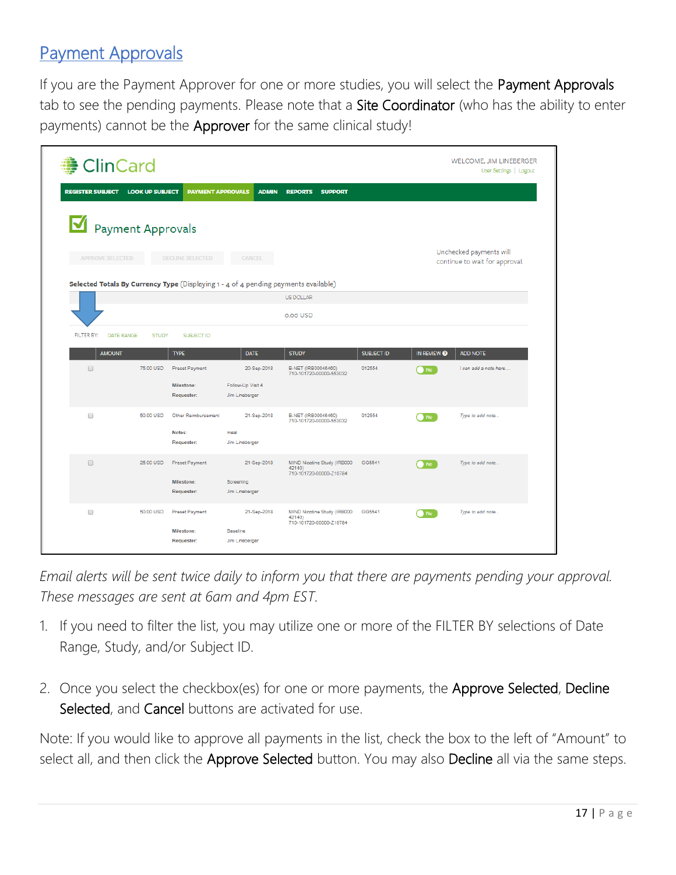### Payment Approvals

If you are the Payment Approver for one or more studies, you will select the Payment Approvals tab to see the pending payments. Please note that a Site Coordinator (who has the ability to enter payments) cannot be the Approver for the same clinical study!

| <b>ClinCard</b>                 |                        |                                 |                                                                                     |                                                                  |                   |                        | WELCOME, JIM LINEBERGER<br>User Settings   Logout         |
|---------------------------------|------------------------|---------------------------------|-------------------------------------------------------------------------------------|------------------------------------------------------------------|-------------------|------------------------|-----------------------------------------------------------|
| <b>REGISTER SUBJECT</b>         | <b>LOOK UP SUBJECT</b> | <b>PAYMENT APPROVALS</b>        | <b>ADMIN</b>                                                                        | <b>REPORTS</b><br><b>SUPPORT</b>                                 |                   |                        |                                                           |
| Payment Approvals               |                        |                                 |                                                                                     |                                                                  |                   |                        |                                                           |
| <b>APPROVE SELECTED</b>         |                        | <b>DECLINE SELECTED</b>         | <b>CANCEL</b>                                                                       |                                                                  |                   |                        | Unchecked payments will<br>continue to wait for approval. |
|                                 |                        |                                 | Selected Totals By Currency Type (Displaying 1 - 4 of 4 pending payments available) |                                                                  |                   |                        |                                                           |
|                                 |                        |                                 |                                                                                     | <b>US DOLLAR</b>                                                 |                   |                        |                                                           |
|                                 |                        |                                 |                                                                                     | o.oo USD                                                         |                   |                        |                                                           |
| FILTER BY:<br><b>DATE RANGE</b> | <b>STUDY</b>           | SUBJECT ID                      |                                                                                     |                                                                  |                   |                        |                                                           |
| <b>AMOUNT</b>                   |                        | <b>TYPE</b>                     | <b>DATE</b>                                                                         | <b>STUDY</b>                                                     | <b>SUBJECT ID</b> | IN REVIEW <sup>O</sup> | <b>ADD NOTE</b>                                           |
| $\Box$                          | 75.00 USD              | <b>Preset Payment</b>           | 20-Sep-2018                                                                         | B-NET (IRB00046460)<br>710-101720-00000-553032                   | 012554            | $\bullet$ No           | I can add a note here                                     |
|                                 |                        | Milestone:<br>Requester:        | Follow-Up Visit 4<br>Jim Lineberger                                                 |                                                                  |                   |                        |                                                           |
| $\Box$                          | 50.00 USD              | Other Reimbursement             | 21-Sep-2018                                                                         | B-NET (IRB00046460)<br>710-101720-00000-553032                   | 012554            | $\bullet$ No           | Type to add note                                          |
|                                 |                        | Notes:<br>Requester:            | meal<br>Jim Lineberger                                                              |                                                                  |                   |                        |                                                           |
| $\qquad \qquad \Box$            | 25.00 USD              | <b>Preset Payment</b>           | 21-Sep-2018                                                                         | MIND Nicotine Study (IRB000<br>42140)<br>710-101720-00000-Z10784 | GG5541            | $\bullet$ No           | Type to add note                                          |
|                                 |                        | Milestone:<br>Requester:        | Screening<br>Jim Lineberger                                                         |                                                                  |                   |                        |                                                           |
| $\qquad \qquad \Box$            | 50.00 USD              | <b>Preset Payment</b>           | 21-Sep-2018                                                                         | MIND Nicotine Study (IRB000<br>42140)<br>710-101720-00000-Z10784 | GG5541            | $\bullet$ No           | Type to add note                                          |
|                                 |                        | <b>Milestone:</b><br>Requester: | Baseline<br>Jim Lineberger                                                          |                                                                  |                   |                        |                                                           |

*Email alerts will be sent twice daily to inform you that there are payments pending your approval. These messages are sent at 6am and 4pm EST.*

- 1. If you need to filter the list, you may utilize one or more of the FILTER BY selections of Date Range, Study, and/or Subject ID.
- 2. Once you select the checkbox(es) for one or more payments, the Approve Selected, Decline Selected, and Cancel buttons are activated for use.

Note: If you would like to approve all payments in the list, check the box to the left of "Amount" to select all, and then click the Approve Selected button. You may also Decline all via the same steps.